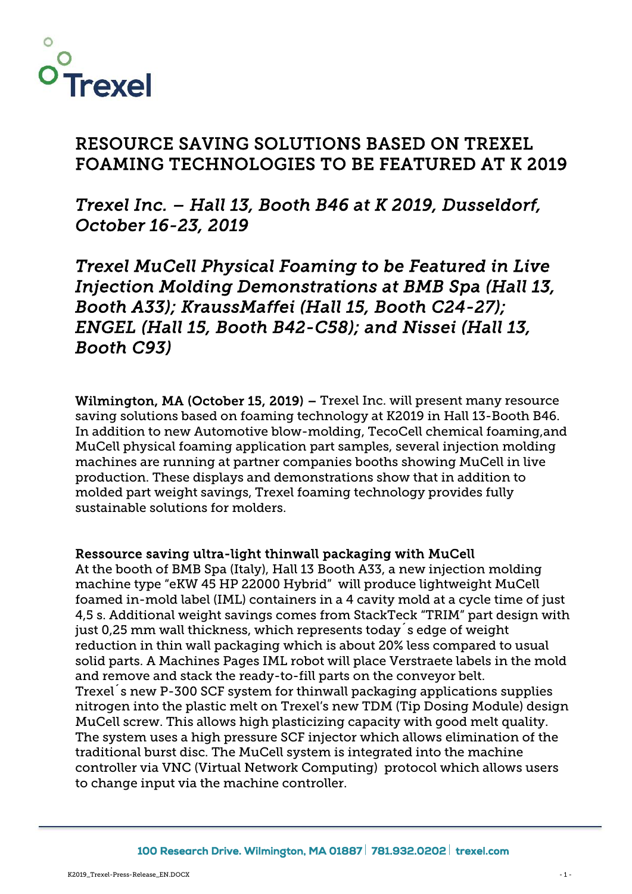

# **RESOURCE SAVING SOLUTIONS BASED ON TREXEL FOAMING TECHNOLOGIES TO BE FEATURED AT K 2019**

*Trexel Inc. – Hall 13, Booth B46 at K 2019, Dusseldorf, October 16-23, 2019*

*Trexel MuCell Physical Foaming to be Featured in Live Injection Molding Demonstrations at BMB Spa (Hall 13, Booth A33); KraussMaffei (Hall 15, Booth C24-27); ENGEL (Hall 15, Booth B42-C58); and Nissei (Hall 13, Booth C93)*

**Wilmington, MA (October 15, 2019) –** Trexel Inc. will present many resource saving solutions based on foaming technology at K2019 in Hall 13-Booth B46. In addition to new Automotive blow-molding, TecoCell chemical foaming,and MuCell physical foaming application part samples, several injection molding machines are running at partner companies booths showing MuCell in live production. These displays and demonstrations show that in addition to molded part weight savings, Trexel foaming technology provides fully sustainable solutions for molders.

### **Ressource saving ultra-light thinwall packaging with MuCell**

At the booth of BMB Spa (Italy), Hall 13 Booth A33, a new injection molding machine type "eKW 45 HP 22000 Hybrid" will produce lightweight MuCell foamed in-mold label (IML) containers in a 4 cavity mold at a cycle time of just 4,5 s. Additional weight savings comes from StackTeck "TRIM" part design with just 0,25 mm wall thickness, which represents today´s edge of weight reduction in thin wall packaging which is about 20% less compared to usual solid parts. A Machines Pages IML robot will place Verstraete labels in the mold and remove and stack the ready-to-fill parts on the conveyor belt. Trexel´s new P-300 SCF system for thinwall packaging applications supplies nitrogen into the plastic melt on Trexel's new TDM (Tip Dosing Module) design MuCell screw. This allows high plasticizing capacity with good melt quality. The system uses a high pressure SCF injector which allows elimination of the traditional burst disc. The MuCell system is integrated into the machine controller via VNC (Virtual Network Computing) protocol which allows users to change input via the machine controller.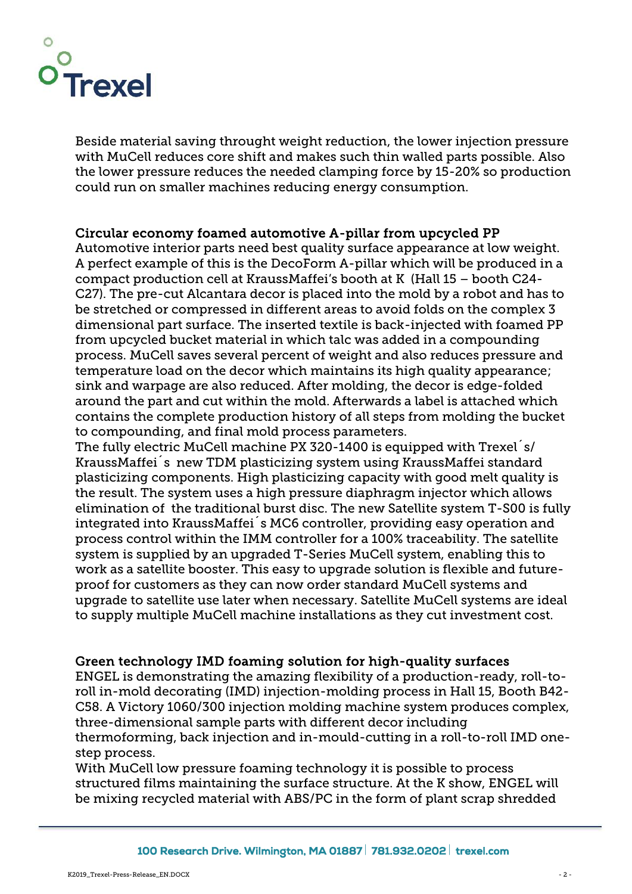

Beside material saving throught weight reduction, the lower injection pressure with MuCell reduces core shift and makes such thin walled parts possible. Also the lower pressure reduces the needed clamping force by 15-20% so production could run on smaller machines reducing energy consumption.

## **Circular economy foamed automotive A-pillar from upcycled PP**

Automotive interior parts need best quality surface appearance at low weight. A perfect example of this is the DecoForm A-pillar which will be produced in a compact production cell at KraussMaffei's booth at K (Hall 15 – booth C24- C27). The pre-cut Alcantara decor is placed into the mold by a robot and has to be stretched or compressed in different areas to avoid folds on the complex 3 dimensional part surface. The inserted textile is back-injected with foamed PP from upcycled bucket material in which talc was added in a compounding process. MuCell saves several percent of weight and also reduces pressure and temperature load on the decor which maintains its high quality appearance; sink and warpage are also reduced. After molding, the decor is edge-folded around the part and cut within the mold. Afterwards a label is attached which contains the complete production history of all steps from molding the bucket to compounding, and final mold process parameters.

The fully electric MuCell machine PX 320-1400 is equipped with Trexel´s/ KraussMaffei´s new TDM plasticizing system using KraussMaffei standard plasticizing components. High plasticizing capacity with good melt quality is the result. The system uses a high pressure diaphragm injector which allows elimination of the traditional burst disc. The new Satellite system T-S00 is fully integrated into KraussMaffei´s MC6 controller, providing easy operation and process control within the IMM controller for a 100% traceability. The satellite system is supplied by an upgraded T-Series MuCell system, enabling this to work as a satellite booster. This easy to upgrade solution is flexible and future proof for customers as they can now order standard MuCell systems and upgrade to satellite use later when necessary. Satellite MuCell systems are ideal to supply multiple MuCell machine installations as they cut investment cost.

### **Green technology IMD foaming solution for high-quality surfaces**

ENGEL is demonstrating the amazing flexibility of a production-ready, roll-toroll in-mold decorating (IMD) injection-molding process in Hall 15, Booth B42- C58. A Victory 1060/300 injection molding machine system produces complex, three-dimensional sample parts with different decor including thermoforming, back injection and in-mould-cutting in a roll-to-roll IMD one step process.

With MuCell low pressure foaming technology it is possible to process structured films maintaining the surface structure. At the K show, ENGEL will be mixing recycled material with ABS/PC in the form of plant scrap shredded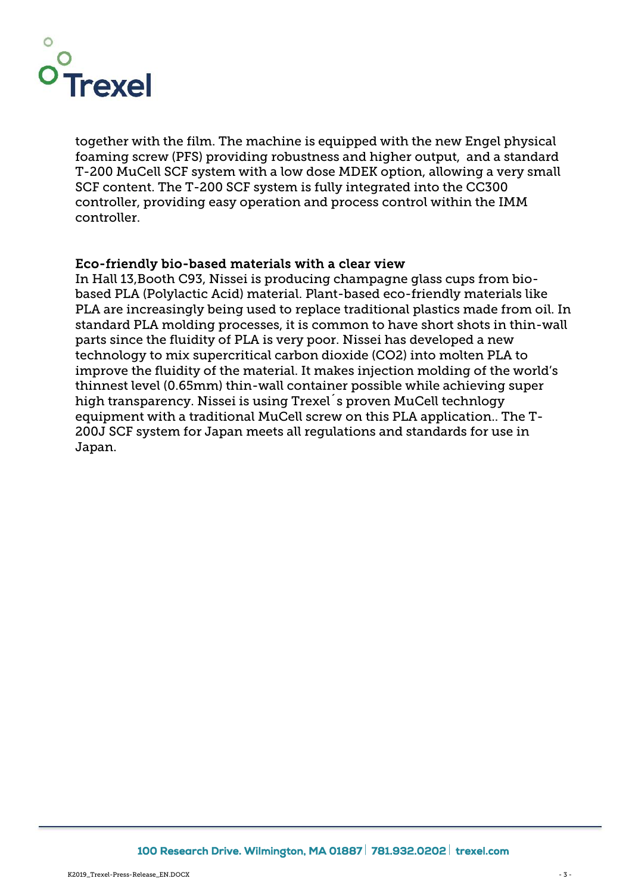

together with the film. The machine is equipped with the new Engel physical foaming screw (PFS) providing robustness and higher output, and a standard T-200 MuCell SCF system with a low dose MDEK option, allowing a very small SCF content. The T-200 SCF system is fully integrated into the CC300 controller, providing easy operation and process control within the IMM controller.

#### **Eco-friendly bio-based materials with a clear view**

In Hall 13,Booth C93, Nissei is producing champagne glass cups from bio based PLA (Polylactic Acid) material. Plant-based eco-friendly materials like PLA are increasingly being used to replace traditional plastics made from oil. In standard PLA molding processes, it is common to have short shots in thin-wall parts since the fluidity of PLA is very poor. Nissei has developed a new technology to mix supercritical carbon dioxide (CO2) into molten PLA to improve the fluidity of the material. It makes injection molding of the world's thinnest level (0.65mm) thin-wall container possible while achieving super high transparency. Nissei is using Trexel´s proven MuCell technlogy equipment with a traditional MuCell screw on this PLA application.. The T- 200J SCF system for Japan meets all regulations and standards for use in Japan.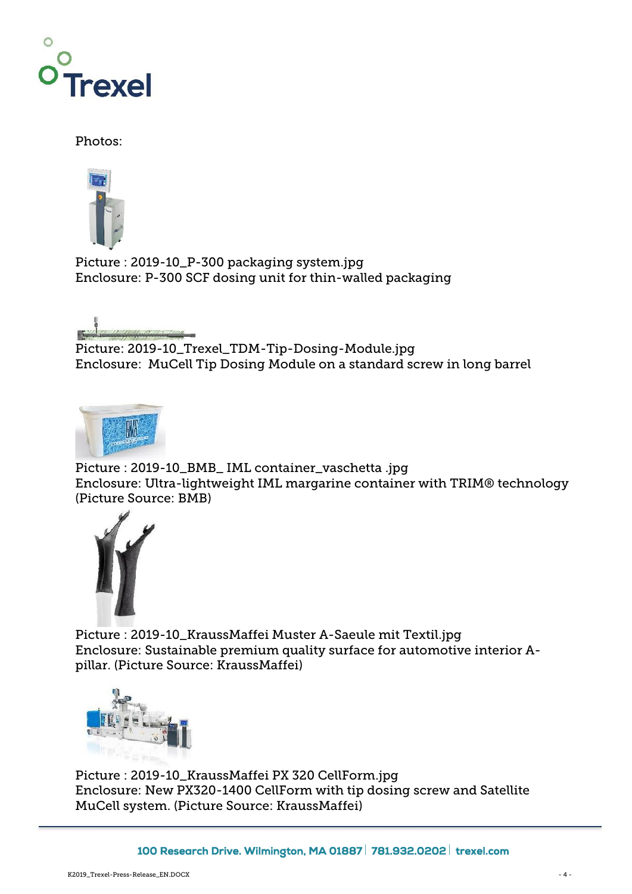

Photos:



Picture : 2019-10\_P-300 packaging system.jpg Enclosure: P-300 SCF dosing unit for thin-walled packaging



Picture: 2019-10\_Trexel\_TDM-Tip-Dosing-Module.jpg Enclosure: MuCell Tip Dosing Module on a standard screw in long barrel



Picture : 2019-10\_BMB\_ IML container\_vaschetta .jpg Enclosure: Ultra-lightweight IML margarine container with TRIM® technology (Picture Source: BMB)



Picture : 2019-10\_KraussMaffei Muster A-Saeule mit Textil.jpg Enclosure: Sustainable premium quality surface for automotive interior A pillar. (Picture Source: KraussMaffei)



Picture : 2019-10\_KraussMaffei PX 320 CellForm.jpg Enclosure: New PX320-1400 CellForm with tip dosing screw and Satellite MuCell system. (Picture Source: KraussMaffei)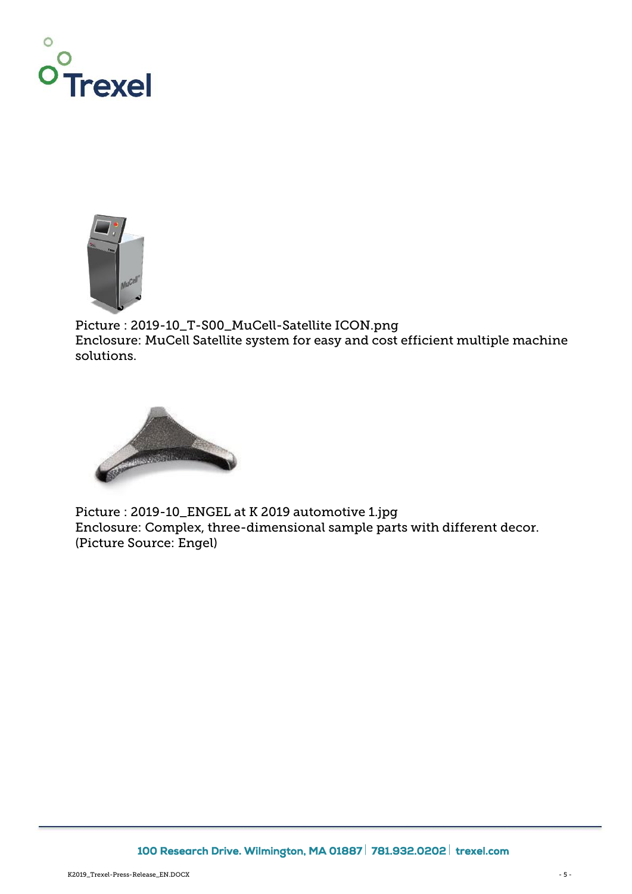



Picture : 2019-10\_T-S00\_MuCell-Satellite ICON.png Enclosure: MuCell Satellite system for easy and cost efficient multiple machine solutions.



Picture : 2019-10\_ENGEL at K 2019 automotive 1.jpg Enclosure: Complex, three-dimensional sample parts with different decor. (Picture Source: Engel)